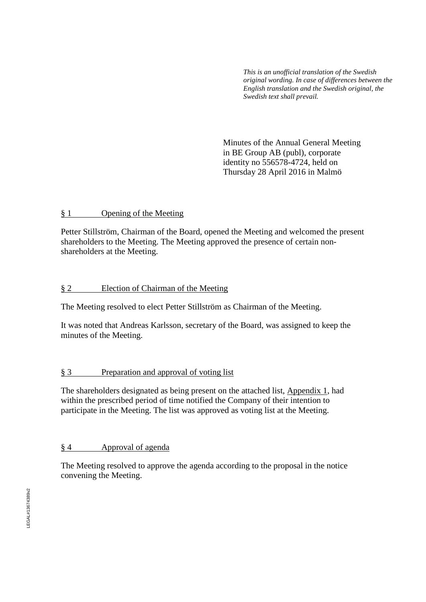*This is an unofficial translation of the Swedish original wording. In case of differences between the English translation and the Swedish original, the Swedish text shall prevail.*

Minutes of the Annual General Meeting in BE Group AB (publ), corporate identity no 556578-4724, held on Thursday 28 April 2016 in Malmö

## § 1 Opening of the Meeting

Petter Stillström, Chairman of the Board, opened the Meeting and welcomed the present shareholders to the Meeting. The Meeting approved the presence of certain nonshareholders at the Meeting.

## § 2 Election of Chairman of the Meeting

The Meeting resolved to elect Petter Stillström as Chairman of the Meeting.

It was noted that Andreas Karlsson, secretary of the Board, was assigned to keep the minutes of the Meeting.

# § 3 Preparation and approval of voting list

The shareholders designated as being present on the attached list, Appendix 1, had within the prescribed period of time notified the Company of their intention to participate in the Meeting. The list was approved as voting list at the Meeting.

# § 4 Approval of agenda

The Meeting resolved to approve the agenda according to the proposal in the notice convening the Meeting.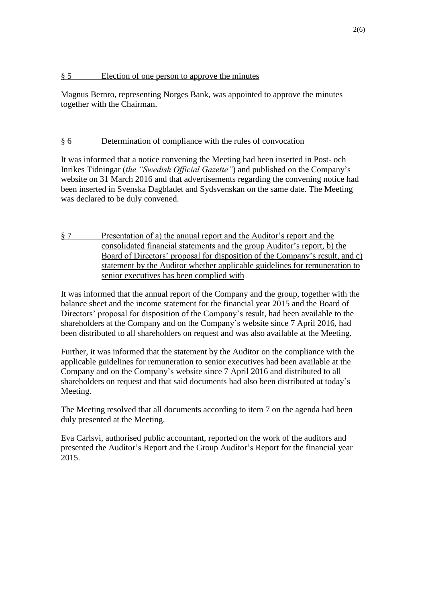## § 5 Election of one person to approve the minutes

Magnus Bernro, representing Norges Bank, was appointed to approve the minutes together with the Chairman.

# § 6 Determination of compliance with the rules of convocation

It was informed that a notice convening the Meeting had been inserted in Post- och Inrikes Tidningar (*the "Swedish Official Gazette"*) and published on the Company's website on 31 March 2016 and that advertisements regarding the convening notice had been inserted in Svenska Dagbladet and Sydsvenskan on the same date. The Meeting was declared to be duly convened.

§ 7 Presentation of a) the annual report and the Auditor's report and the consolidated financial statements and the group Auditor's report, b) the Board of Directors' proposal for disposition of the Company's result, and c) statement by the Auditor whether applicable guidelines for remuneration to senior executives has been complied with

It was informed that the annual report of the Company and the group, together with the balance sheet and the income statement for the financial year 2015 and the Board of Directors' proposal for disposition of the Company's result, had been available to the shareholders at the Company and on the Company's website since 7 April 2016, had been distributed to all shareholders on request and was also available at the Meeting.

Further, it was informed that the statement by the Auditor on the compliance with the applicable guidelines for remuneration to senior executives had been available at the Company and on the Company's website since 7 April 2016 and distributed to all shareholders on request and that said documents had also been distributed at today's Meeting.

The Meeting resolved that all documents according to item 7 on the agenda had been duly presented at the Meeting.

Eva Carlsvi, authorised public accountant, reported on the work of the auditors and presented the Auditor's Report and the Group Auditor's Report for the financial year 2015.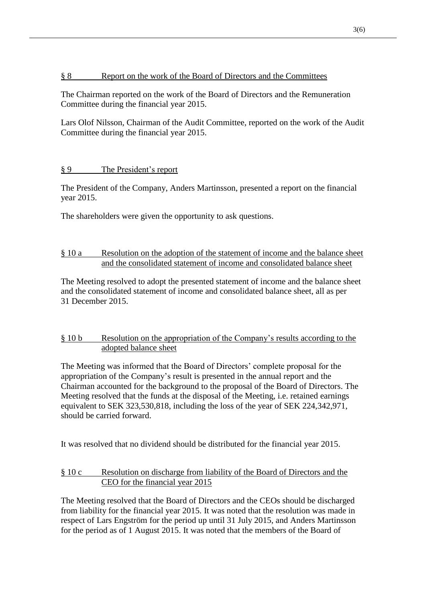# § 8 Report on the work of the Board of Directors and the Committees

The Chairman reported on the work of the Board of Directors and the Remuneration Committee during the financial year 2015.

Lars Olof Nilsson, Chairman of the Audit Committee, reported on the work of the Audit Committee during the financial year 2015.

# § 9 The President's report

The President of the Company, Anders Martinsson, presented a report on the financial year 2015.

The shareholders were given the opportunity to ask questions.

# § 10 a Resolution on the adoption of the statement of income and the balance sheet and the consolidated statement of income and consolidated balance sheet

The Meeting resolved to adopt the presented statement of income and the balance sheet and the consolidated statement of income and consolidated balance sheet, all as per 31 December 2015.

# § 10 b Resolution on the appropriation of the Company's results according to the adopted balance sheet

The Meeting was informed that the Board of Directors' complete proposal for the appropriation of the Company's result is presented in the annual report and the Chairman accounted for the background to the proposal of the Board of Directors. The Meeting resolved that the funds at the disposal of the Meeting, i.e. retained earnings equivalent to SEK 323,530,818, including the loss of the year of SEK 224,342,971, should be carried forward.

It was resolved that no dividend should be distributed for the financial year 2015.

# § 10 c Resolution on discharge from liability of the Board of Directors and the CEO for the financial year 2015

The Meeting resolved that the Board of Directors and the CEOs should be discharged from liability for the financial year 2015. It was noted that the resolution was made in respect of Lars Engström for the period up until 31 July 2015, and Anders Martinsson for the period as of 1 August 2015. It was noted that the members of the Board of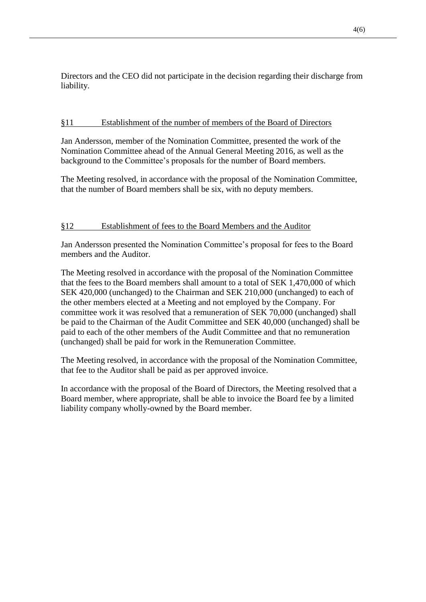Directors and the CEO did not participate in the decision regarding their discharge from liability.

## §11 Establishment of the number of members of the Board of Directors

Jan Andersson, member of the Nomination Committee, presented the work of the Nomination Committee ahead of the Annual General Meeting 2016, as well as the background to the Committee's proposals for the number of Board members.

The Meeting resolved, in accordance with the proposal of the Nomination Committee, that the number of Board members shall be six, with no deputy members.

# §12 Establishment of fees to the Board Members and the Auditor

Jan Andersson presented the Nomination Committee's proposal for fees to the Board members and the Auditor.

The Meeting resolved in accordance with the proposal of the Nomination Committee that the fees to the Board members shall amount to a total of SEK 1,470,000 of which SEK 420,000 (unchanged) to the Chairman and SEK 210,000 (unchanged) to each of the other members elected at a Meeting and not employed by the Company. For committee work it was resolved that a remuneration of SEK 70,000 (unchanged) shall be paid to the Chairman of the Audit Committee and SEK 40,000 (unchanged) shall be paid to each of the other members of the Audit Committee and that no remuneration (unchanged) shall be paid for work in the Remuneration Committee.

The Meeting resolved, in accordance with the proposal of the Nomination Committee, that fee to the Auditor shall be paid as per approved invoice.

In accordance with the proposal of the Board of Directors, the Meeting resolved that a Board member, where appropriate, shall be able to invoice the Board fee by a limited liability company wholly-owned by the Board member.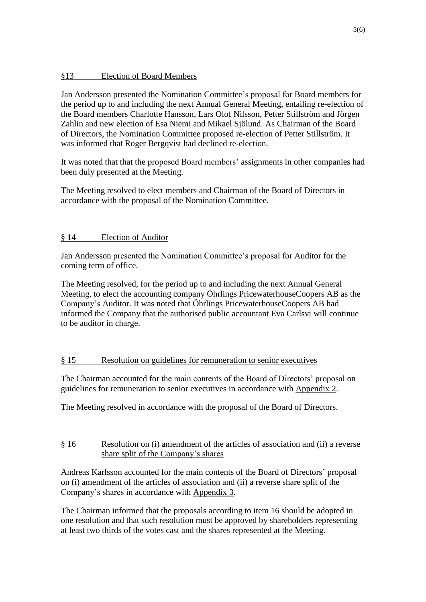# §13 Election of Board Members

Jan Andersson presented the Nomination Committee's proposal for Board members for the period up to and including the next Annual General Meeting, entailing re-election of the Board members Charlotte Hansson, Lars Olof Nilsson, Petter Stillström and Jörgen Zahlin and new election of Esa Niemi and Mikael Sjölund. As Chairman of the Board of Directors, the Nomination Committee proposed re-election of Petter Stillström. It was informed that Roger Bergqvist had declined re-election.

It was noted that that the proposed Board members' assignments in other companies had been duly presented at the Meeting.

The Meeting resolved to elect members and Chairman of the Board of Directors in accordance with the proposal of the Nomination Committee.

# § 14 Election of Auditor

Jan Andersson presented the Nomination Committee's proposal for Auditor for the coming term of office.

The Meeting resolved, for the period up to and including the next Annual General Meeting, to elect the accounting company Öhrlings PricewaterhouseCoopers AB as the Company's Auditor. It was noted that Öhrlings PricewaterhouseCoopers AB had informed the Company that the authorised public accountant Eva Carlsvi will continue to be auditor in charge.

# § 15 Resolution on guidelines for remuneration to senior executives

The Chairman accounted for the main contents of the Board of Directors' proposal on guidelines for remuneration to senior executives in accordance with Appendix 2.

The Meeting resolved in accordance with the proposal of the Board of Directors.

# § 16 Resolution on (i) amendment of the articles of association and (ii) a reverse share split of the Company's shares

Andreas Karlsson accounted for the main contents of the Board of Directors' proposal on (i) amendment of the articles of association and (ii) a reverse share split of the Company's shares in accordance with Appendix 3.

The Chairman informed that the proposals according to item 16 should be adopted in one resolution and that such resolution must be approved by shareholders representing at least two thirds of the votes cast and the shares represented at the Meeting.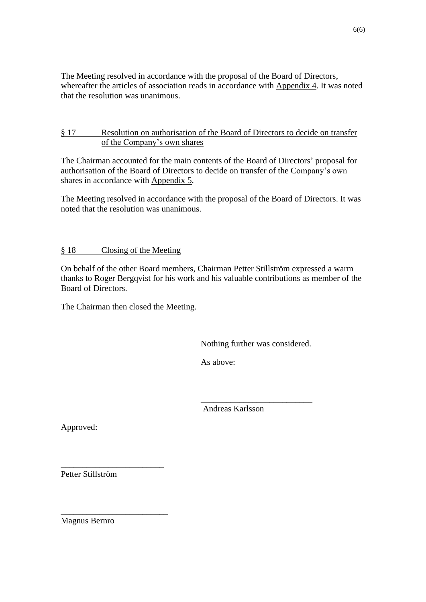The Meeting resolved in accordance with the proposal of the Board of Directors, whereafter the articles of association reads in accordance with Appendix 4. It was noted that the resolution was unanimous.

# § 17 Resolution on authorisation of the Board of Directors to decide on transfer of the Company's own shares

The Chairman accounted for the main contents of the Board of Directors' proposal for authorisation of the Board of Directors to decide on transfer of the Company's own shares in accordance with Appendix 5.

The Meeting resolved in accordance with the proposal of the Board of Directors. It was noted that the resolution was unanimous.

# § 18 Closing of the Meeting

On behalf of the other Board members, Chairman Petter Stillström expressed a warm thanks to Roger Bergqvist for his work and his valuable contributions as member of the Board of Directors.

The Chairman then closed the Meeting.

Nothing further was considered.

\_\_\_\_\_\_\_\_\_\_\_\_\_\_\_\_\_\_\_\_\_\_\_\_\_\_

As above:

Andreas Karlsson

Approved:

Petter Stillström

\_\_\_\_\_\_\_\_\_\_\_\_\_\_\_\_\_\_\_\_\_\_\_\_

\_\_\_\_\_\_\_\_\_\_\_\_\_\_\_\_\_\_\_\_\_\_\_\_\_

Magnus Bernro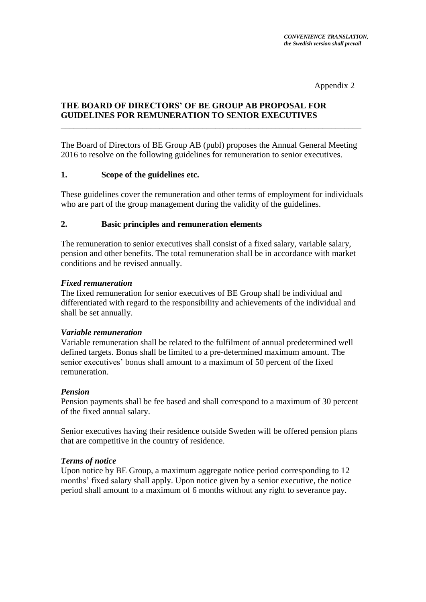Appendix 2

# **THE BOARD OF DIRECTORS' OF BE GROUP AB PROPOSAL FOR GUIDELINES FOR REMUNERATION TO SENIOR EXECUTIVES**

The Board of Directors of BE Group AB (publ) proposes the Annual General Meeting 2016 to resolve on the following guidelines for remuneration to senior executives.

\_\_\_\_\_\_\_\_\_\_\_\_\_\_\_\_\_\_\_\_\_\_\_\_\_\_\_\_\_\_\_\_\_\_\_\_\_\_\_\_\_\_\_\_\_\_\_\_\_\_\_\_\_\_\_\_\_\_\_\_\_\_\_\_\_\_\_\_\_\_

## **1. Scope of the guidelines etc.**

These guidelines cover the remuneration and other terms of employment for individuals who are part of the group management during the validity of the guidelines.

## **2. Basic principles and remuneration elements**

The remuneration to senior executives shall consist of a fixed salary, variable salary, pension and other benefits. The total remuneration shall be in accordance with market conditions and be revised annually.

## *Fixed remuneration*

The fixed remuneration for senior executives of BE Group shall be individual and differentiated with regard to the responsibility and achievements of the individual and shall be set annually.

## *Variable remuneration*

Variable remuneration shall be related to the fulfilment of annual predetermined well defined targets. Bonus shall be limited to a pre-determined maximum amount. The senior executives' bonus shall amount to a maximum of 50 percent of the fixed remuneration.

## *Pension*

Pension payments shall be fee based and shall correspond to a maximum of 30 percent of the fixed annual salary.

Senior executives having their residence outside Sweden will be offered pension plans that are competitive in the country of residence.

## *Terms of notice*

Upon notice by BE Group, a maximum aggregate notice period corresponding to 12 months' fixed salary shall apply. Upon notice given by a senior executive, the notice period shall amount to a maximum of 6 months without any right to severance pay.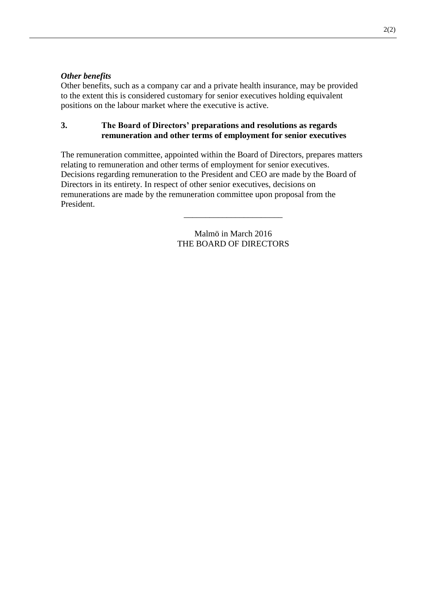## *Other benefits*

Other benefits, such as a company car and a private health insurance, may be provided to the extent this is considered customary for senior executives holding equivalent positions on the labour market where the executive is active.

## **3. The Board of Directors' preparations and resolutions as regards remuneration and other terms of employment for senior executives**

The remuneration committee, appointed within the Board of Directors, prepares matters relating to remuneration and other terms of employment for senior executives. Decisions regarding remuneration to the President and CEO are made by the Board of Directors in its entirety. In respect of other senior executives, decisions on remunerations are made by the remuneration committee upon proposal from the President.

> Malmö in March 2016 THE BOARD OF DIRECTORS

\_\_\_\_\_\_\_\_\_\_\_\_\_\_\_\_\_\_\_\_\_\_\_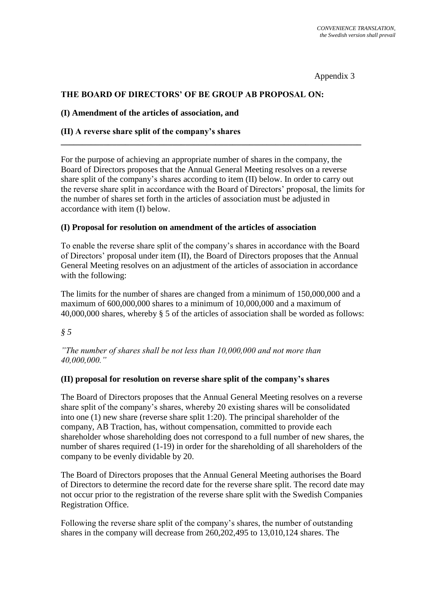Appendix 3

## **THE BOARD OF DIRECTORS' OF BE GROUP AB PROPOSAL ON:**

#### **(I) Amendment of the articles of association, and**

## **(II) A reverse share split of the company's shares**

For the purpose of achieving an appropriate number of shares in the company, the Board of Directors proposes that the Annual General Meeting resolves on a reverse share split of the company's shares according to item (II) below. In order to carry out the reverse share split in accordance with the Board of Directors' proposal, the limits for the number of shares set forth in the articles of association must be adjusted in accordance with item (I) below.

**\_\_\_\_\_\_\_\_\_\_\_\_\_\_\_\_\_\_\_\_\_\_\_\_\_\_\_\_\_\_\_\_\_\_\_\_\_\_\_\_\_\_\_\_\_\_\_\_\_\_\_\_\_\_\_\_\_\_\_\_\_\_\_\_\_\_\_\_\_\_**

#### **(I) Proposal for resolution on amendment of the articles of association**

To enable the reverse share split of the company's shares in accordance with the Board of Directors' proposal under item (II), the Board of Directors proposes that the Annual General Meeting resolves on an adjustment of the articles of association in accordance with the following:

The limits for the number of shares are changed from a minimum of 150,000,000 and a maximum of 600,000,000 shares to a minimum of 10,000,000 and a maximum of 40,000,000 shares, whereby § 5 of the articles of association shall be worded as follows:

#### *§ 5*

*"The number of shares shall be not less than 10,000,000 and not more than 40,000,000."*

#### **(II) proposal for resolution on reverse share split of the company's shares**

The Board of Directors proposes that the Annual General Meeting resolves on a reverse share split of the company's shares, whereby 20 existing shares will be consolidated into one (1) new share (reverse share split 1:20). The principal shareholder of the company, AB Traction, has, without compensation, committed to provide each shareholder whose shareholding does not correspond to a full number of new shares, the number of shares required (1-19) in order for the shareholding of all shareholders of the company to be evenly dividable by 20.

The Board of Directors proposes that the Annual General Meeting authorises the Board of Directors to determine the record date for the reverse share split. The record date may not occur prior to the registration of the reverse share split with the Swedish Companies Registration Office.

Following the reverse share split of the company's shares, the number of outstanding shares in the company will decrease from 260,202,495 to 13,010,124 shares. The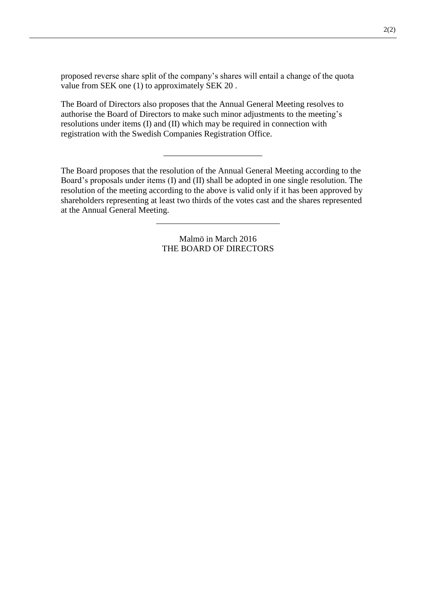proposed reverse share split of the company's shares will entail a change of the quota value from SEK one (1) to approximately SEK 20 .

The Board of Directors also proposes that the Annual General Meeting resolves to authorise the Board of Directors to make such minor adjustments to the meeting's resolutions under items (I) and (II) which may be required in connection with registration with the Swedish Companies Registration Office.

The Board proposes that the resolution of the Annual General Meeting according to the Board's proposals under items (I) and (II) shall be adopted in one single resolution. The resolution of the meeting according to the above is valid only if it has been approved by shareholders representing at least two thirds of the votes cast and the shares represented at the Annual General Meeting.

\_\_\_\_\_\_\_\_\_\_\_\_\_\_\_\_\_\_\_\_\_\_\_

Malmö in March 2016 THE BOARD OF DIRECTORS